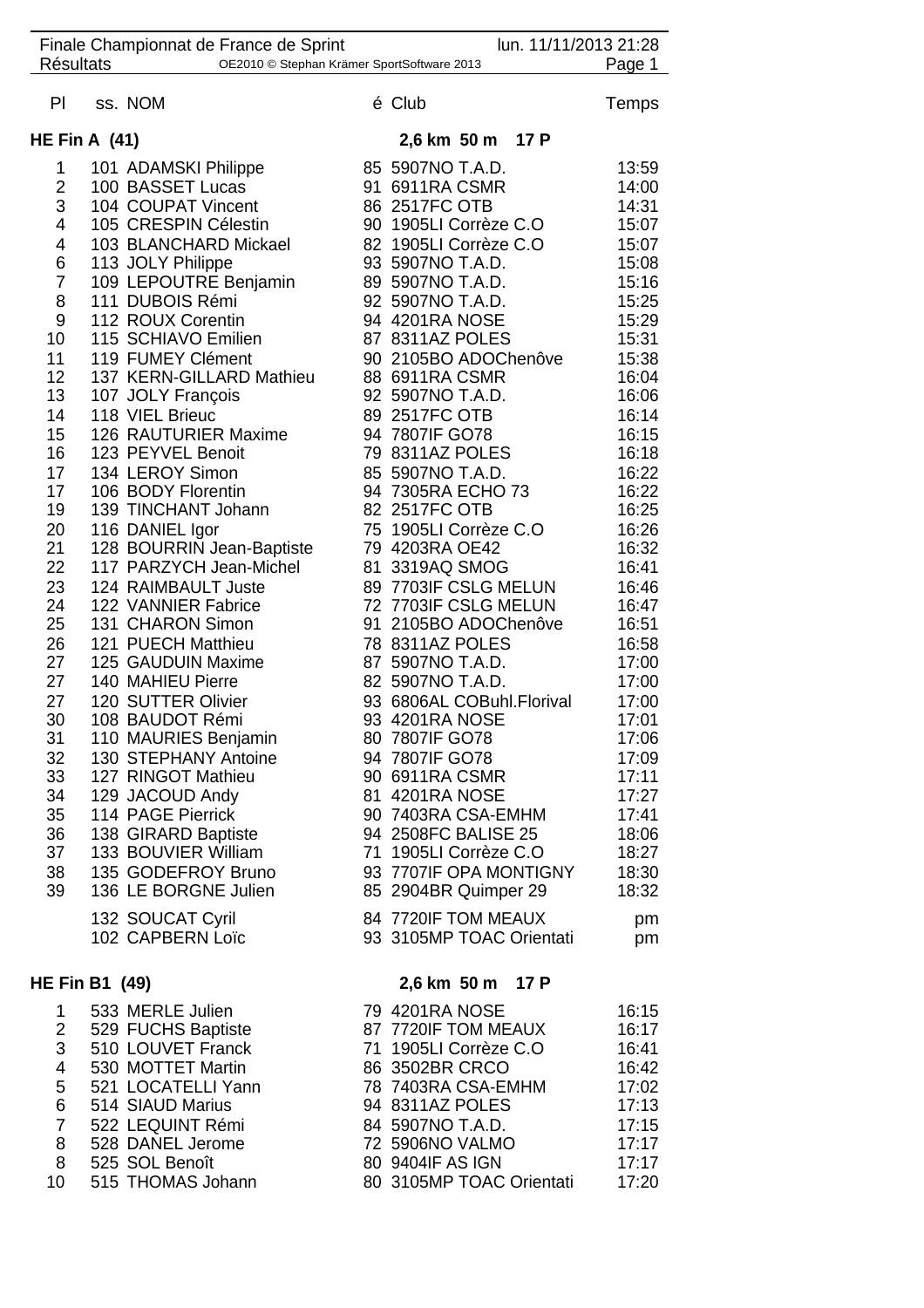|                                                                          |  | Finale Championnat de France de Sprint     |  | lun. 11/11/2013 21:28                           |                |  |
|--------------------------------------------------------------------------|--|--------------------------------------------|--|-------------------------------------------------|----------------|--|
| <b>Résultats</b><br>OE2010 © Stephan Krämer SportSoftware 2013<br>Page 1 |  |                                            |  |                                                 |                |  |
| PI                                                                       |  | ss. NOM                                    |  | é Club                                          | <b>Temps</b>   |  |
| HE Fin A $(41)$                                                          |  |                                            |  | 2,6 km 50 m 17 P                                |                |  |
| 1                                                                        |  | 101 ADAMSKI Philippe                       |  | 85 5907NO T.A.D.                                | 13:59          |  |
| $\overline{2}$                                                           |  | 100 BASSET Lucas                           |  | 91 6911RA CSMR                                  | 14:00          |  |
| 3                                                                        |  | 104 COUPAT Vincent                         |  | 86 2517FC OTB                                   | 14:31          |  |
| 4                                                                        |  | 105 CRESPIN Célestin                       |  | 90 1905LI Corrèze C.O                           | 15:07          |  |
| 4                                                                        |  | 103 BLANCHARD Mickael                      |  | 82 1905LI Corrèze C.O                           | 15:07          |  |
| 6                                                                        |  | 113 JOLY Philippe                          |  | 93 5907NO T.A.D.                                | 15:08          |  |
| $\overline{7}$                                                           |  | 109 LEPOUTRE Benjamin                      |  | 89 5907NO T.A.D.                                | 15:16          |  |
| 8                                                                        |  | 111 DUBOIS Rémi                            |  | 92 5907NO T.A.D.                                | 15:25          |  |
| 9                                                                        |  | 112 ROUX Corentin                          |  | 94 4201RA NOSE                                  | 15:29          |  |
| 10                                                                       |  | 115 SCHIAVO Emilien                        |  | 87 8311AZ POLES                                 | 15:31          |  |
| 11                                                                       |  | 119 FUMEY Clément                          |  | 90 2105BO ADOChenôve                            | 15:38          |  |
| 12<br>13                                                                 |  | 137 KERN-GILLARD Mathieu                   |  | 88 6911RA CSMR<br>92 5907NO T.A.D.              | 16:04          |  |
|                                                                          |  | 107 JOLY François<br>118 VIEL Brieuc       |  | 89 2517FC OTB                                   | 16:06          |  |
| 14<br>15                                                                 |  | 126 RAUTURIER Maxime                       |  | 94 7807IF GO78                                  | 16:14<br>16:15 |  |
| 16                                                                       |  | 123 PEYVEL Benoit                          |  | 79 8311AZ POLES                                 | 16:18          |  |
| 17                                                                       |  | 134 LEROY Simon                            |  | 85 5907NO T.A.D.                                | 16:22          |  |
| 17                                                                       |  | 106 BODY Florentin                         |  | 94 7305RA ECHO 73                               | 16:22          |  |
| 19                                                                       |  | 139 TINCHANT Johann                        |  | 82 2517FC OTB                                   | 16:25          |  |
| 20                                                                       |  | 116 DANIEL Igor                            |  | 75 1905LI Corrèze C.O                           | 16:26          |  |
| 21                                                                       |  | 128 BOURRIN Jean-Baptiste                  |  | 79 4203RA OE42                                  | 16:32          |  |
| 22                                                                       |  | 117 PARZYCH Jean-Michel                    |  | 81 3319AQ SMOG                                  | 16:41          |  |
| 23                                                                       |  | 124 RAIMBAULT Juste                        |  | 89 7703IF CSLG MELUN                            | 16:46          |  |
| 24                                                                       |  | 122 VANNIER Fabrice                        |  | 72 7703IF CSLG MELUN                            | 16:47          |  |
| 25                                                                       |  | 131 CHARON Simon                           |  | 91 2105BO ADOChenôve                            | 16:51          |  |
| 26                                                                       |  | 121 PUECH Matthieu                         |  | 78 8311AZ POLES                                 | 16:58          |  |
| 27                                                                       |  | 125 GAUDUIN Maxime                         |  | 87 5907NO T.A.D.                                | 17:00          |  |
| 27                                                                       |  | 140 MAHIEU Pierre                          |  | 82 5907NO T.A.D.                                | 17:00          |  |
| 27                                                                       |  | 120 SUTTER Olivier                         |  | 93 6806AL COBuhl.Florival                       | 17:00          |  |
| 30                                                                       |  | 108 BAUDOT Rémi                            |  | 93 4201RA NOSE                                  | 17:01          |  |
| 31                                                                       |  | 110 MAURIES Benjamin                       |  | 80 7807IF GO78                                  | 17:06          |  |
| 32                                                                       |  | 130 STEPHANY Antoine                       |  | 94 7807IF GO78                                  | 17:09          |  |
| 33                                                                       |  | 127 RINGOT Mathieu                         |  | 90 6911RA CSMR                                  | 17:11          |  |
| 34                                                                       |  | 129 JACOUD Andy                            |  | 81 4201RA NOSE                                  | 17:27          |  |
| 35<br>36                                                                 |  | 114 PAGE Pierrick                          |  | 90 7403RA CSA-EMHM<br>94 2508FC BALISE 25       | 17:41<br>18:06 |  |
| 37                                                                       |  | 138 GIRARD Baptiste<br>133 BOUVIER William |  | 71 1905LI Corrèze C.O                           | 18:27          |  |
| 38                                                                       |  | 135 GODEFROY Bruno                         |  | 93 7707IF OPA MONTIGNY                          | 18:30          |  |
| 39                                                                       |  | 136 LE BORGNE Julien                       |  | 85 2904BR Quimper 29                            | 18:32          |  |
|                                                                          |  | 132 SOUCAT Cyril<br>102 CAPBERN Loïc       |  | 84 7720IF TOM MEAUX<br>93 3105MP TOAC Orientati | pm<br>pm       |  |
|                                                                          |  |                                            |  |                                                 |                |  |
| <b>HE Fin B1 (49)</b>                                                    |  |                                            |  | 2,6 km 50 m 17 P                                |                |  |
| 1                                                                        |  | 533 MERLE Julien                           |  | 79 4201RA NOSE                                  | 16:15          |  |
| $\overline{2}$                                                           |  | 529 FUCHS Baptiste                         |  | 87 7720IF TOM MEAUX                             | 16:17          |  |
| 3                                                                        |  | 510 LOUVET Franck                          |  | 71 1905LI Corrèze C.O                           | 16:41          |  |
| 4                                                                        |  | 530 MOTTET Martin                          |  | 86 3502BR CRCO                                  | 16:42          |  |
| 5<br>6                                                                   |  | 521 LOCATELLI Yann<br>514 SIAUD Marius     |  | 78 7403RA CSA-EMHM<br>94 8311AZ POLES           | 17:02<br>17:13 |  |
| $\overline{7}$                                                           |  | 522 LEQUINT Rémi                           |  | 84 5907NO T.A.D.                                | 17:15          |  |
| 8                                                                        |  | 528 DANEL Jerome                           |  | 72 5906NO VALMO                                 | 17:17          |  |
| 8                                                                        |  | 525 SOL Benoît                             |  | 80 9404IF AS IGN                                | 17:17          |  |
| 10                                                                       |  | 515 THOMAS Johann                          |  | 80 3105MP TOAC Orientati                        | 17:20          |  |
|                                                                          |  |                                            |  |                                                 |                |  |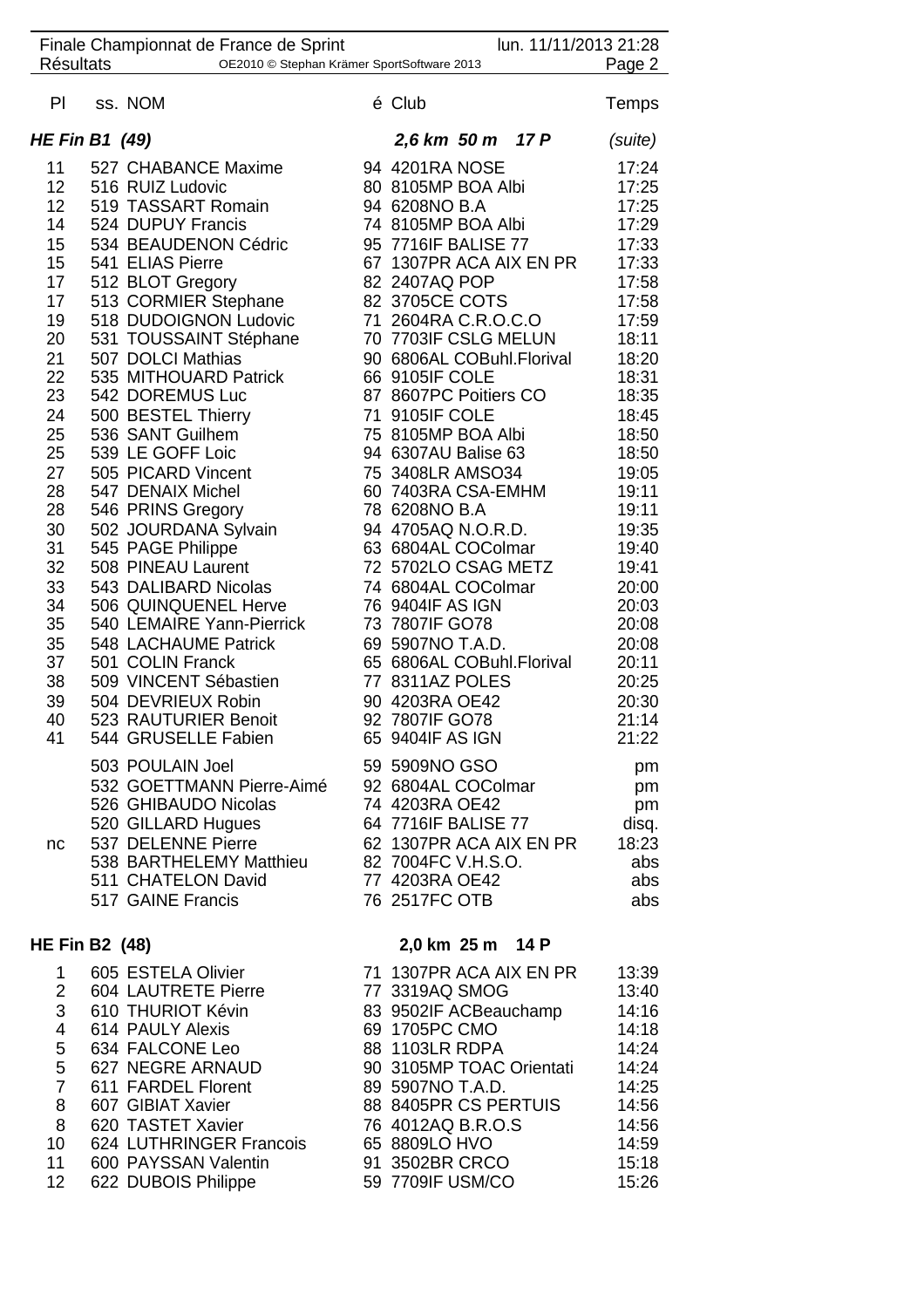|                       | Finale Championnat de France de Sprint     | lun. 11/11/2013 21:28                        |                |
|-----------------------|--------------------------------------------|----------------------------------------------|----------------|
| <b>Résultats</b>      | OE2010 © Stephan Krämer SportSoftware 2013 |                                              | Page 2         |
| PI                    | ss. NOM                                    | é Club                                       | <b>Temps</b>   |
| <b>HE Fin B1 (49)</b> |                                            | 2,6 km 50 m 17 P                             | (suite)        |
| 11                    | 527 CHABANCE Maxime                        | 94 4201RA NOSE                               | 17:24          |
| 12                    | 516 RUIZ Ludovic                           | 80 8105MP BOA Albi                           | 17:25          |
| 12 <sup>°</sup>       | 519 TASSART Romain                         | 94 6208NO B.A                                | 17:25          |
| 14                    | 524 DUPUY Francis                          | 74 8105MP BOA Albi                           | 17:29          |
| 15                    | 534 BEAUDENON Cédric                       | 95 7716IF BALISE 77                          | 17:33          |
| 15<br>17              | 541 ELIAS Pierre                           | 67 1307PR ACA AIX EN PR<br>82 2407AQ POP     | 17:33<br>17:58 |
| 17                    | 512 BLOT Gregory<br>513 CORMIER Stephane   | 82 3705CE COTS                               | 17:58          |
| 19                    | 518 DUDOIGNON Ludovic                      | 71 2604RA C.R.O.C.O                          | 17:59          |
| 20                    | 531 TOUSSAINT Stéphane                     | 70 7703IF CSLG MELUN                         | 18:11          |
| 21                    | 507 DOLCI Mathias                          | 90 6806AL COBuhl.Florival                    | 18:20          |
| 22                    | 535 MITHOUARD Patrick                      | 66 9105IF COLE                               | 18:31          |
| 23                    | 542 DOREMUS Luc                            | 87 8607PC Poitiers CO                        | 18:35          |
| 24                    | 500 BESTEL Thierry                         | 71 9105IF COLE                               | 18:45          |
| 25                    | 536 SANT Guilhem                           | 75 8105MP BOA Albi                           | 18:50          |
| 25                    | 539 LE GOFF Loic                           | 94 6307AU Balise 63                          | 18:50          |
| 27                    | 505 PICARD Vincent                         | 75 3408LR AMSO34                             | 19:05          |
| 28<br>28              | 547 DENAIX Michel<br>546 PRINS Gregory     | 60 7403RA CSA-EMHM<br>78 6208NO B.A          | 19:11<br>19:11 |
| 30                    | 502 JOURDANA Sylvain                       | 94 4705AQ N.O.R.D.                           | 19:35          |
| 31                    | 545 PAGE Philippe                          | 63 6804AL COColmar                           | 19:40          |
| 32                    | 508 PINEAU Laurent                         | 72 5702LO CSAG METZ                          | 19:41          |
| 33                    | 543 DALIBARD Nicolas                       | 74 6804AL COColmar                           | 20:00          |
| 34                    | 506 QUINQUENEL Herve                       | 76 9404IF AS IGN                             | 20:03          |
| 35                    | 540 LEMAIRE Yann-Pierrick                  | 73 7807IF GO78                               | 20:08          |
| 35                    | 548 LACHAUME Patrick                       | 69 5907NO T.A.D.                             | 20:08          |
| 37                    | 501 COLIN Franck                           | 65 6806AL COBuhl.Florival                    | 20:11          |
| 38<br>39              | 509 VINCENT Sébastien                      | 77 8311AZ POLES                              | 20:25          |
| 40                    | 504 DEVRIEUX Robin<br>523 RAUTURIER Benoit | 90 4203RA OE42<br>92 7807IF GO78             | 20:30<br>21:14 |
| 41                    | 544 GRUSELLE Fabien                        | 65 9404IF AS IGN                             | 21:22          |
|                       | 503 POULAIN Joel                           | 59 5909NO GSO                                | pm             |
|                       | 532 GOETTMANN Pierre-Aimé                  | 92 6804AL COColmar                           | pm             |
|                       | 526 GHIBAUDO Nicolas                       | 74 4203RA OE42                               | pm             |
|                       | 520 GILLARD Hugues                         | 64 7716IF BALISE 77                          | disq.          |
| nc                    | 537 DELENNE Pierre                         | 62 1307PR ACA AIX EN PR                      | 18:23          |
|                       | 538 BARTHELEMY Matthieu                    | 82 7004FC V.H.S.O.                           | abs            |
|                       | 511 CHATELON David<br>517 GAINE Francis    | 77 4203RA OE42<br>76 2517FC OTB              | abs<br>abs     |
|                       |                                            |                                              |                |
| <b>HE Fin B2 (48)</b> |                                            | 2,0 km 25 m 14 P                             |                |
| 1                     | 605 ESTELA Olivier                         | 71 1307PR ACA AIX EN PR                      | 13:39          |
| $\overline{2}$        | 604 LAUTRETE Pierre                        | 77 3319AQ SMOG                               | 13:40          |
| 3                     | 610 THURIOT Kévin                          | 83 9502IF ACBeauchamp                        | 14:16          |
| 4                     | 614 PAULY Alexis                           | 69 1705PC CMO                                | 14:18          |
| 5                     | 634 FALCONE Leo                            | 88 1103LR RDPA                               | 14:24          |
| 5<br>$\overline{7}$   | 627 NEGRE ARNAUD<br>611 FARDEL Florent     | 90 3105MP TOAC Orientati<br>89 5907NO T.A.D. | 14:24<br>14:25 |
| 8                     | 607 GIBIAT Xavier                          | 88 8405PR CS PERTUIS                         | 14:56          |
| 8                     | 620 TASTET Xavier                          | 76 4012AQ B.R.O.S                            | 14:56          |
| 10 <sup>°</sup>       | 624 LUTHRINGER Francois                    | 65 8809LO HVO                                | 14:59          |
| 11                    | 600 PAYSSAN Valentin                       | 91 3502BR CRCO                               | 15:18          |

12 622 DUBOIS Philippe 59 7709IF USM/CO 15:26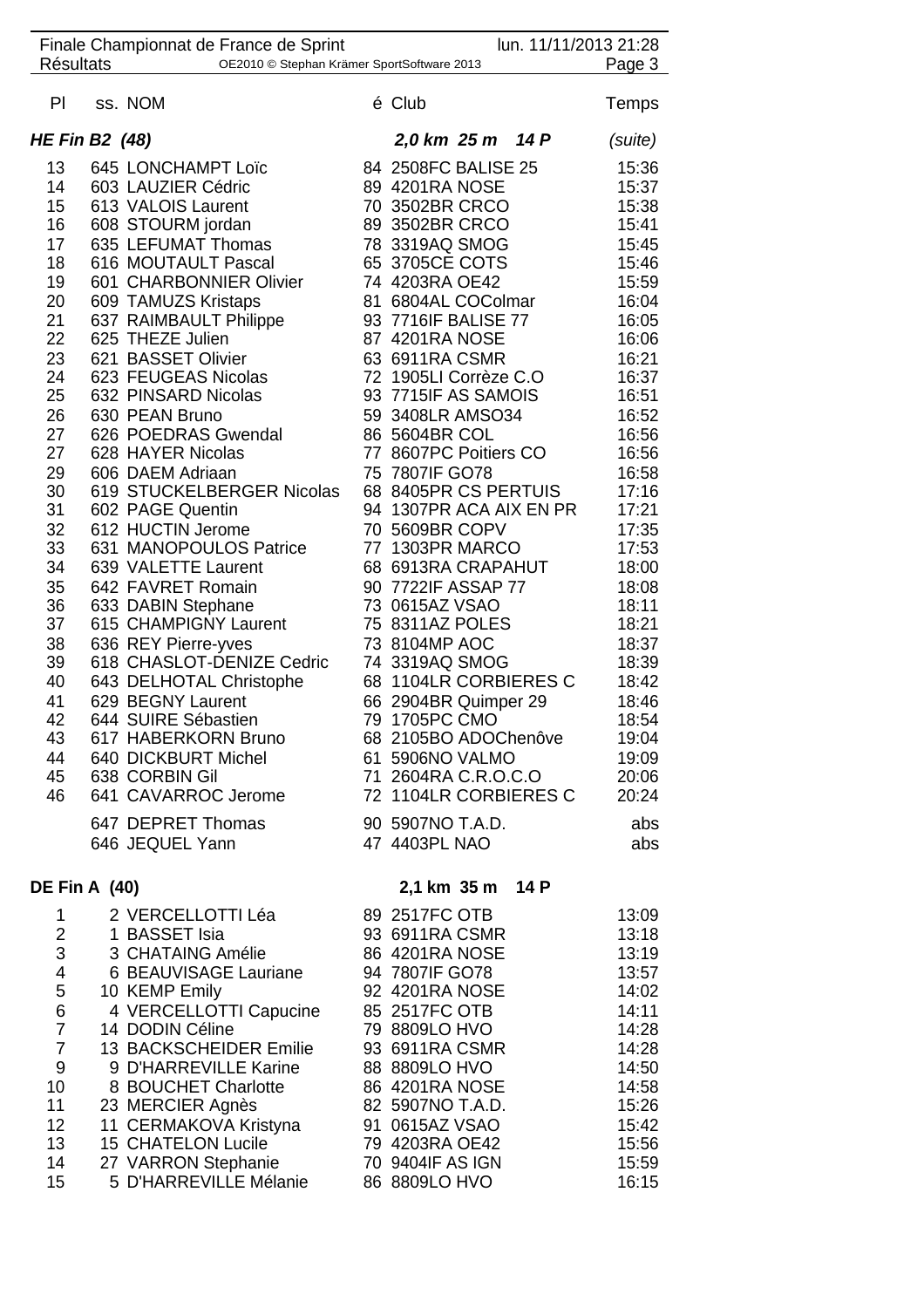| Finale Championnat de France de Sprint<br><b>Résultats</b><br>OE2010 © Stephan Krämer SportSoftware 2013 |  |                                              | lun. 11/11/2013 21:28 |                                               |                |  |
|----------------------------------------------------------------------------------------------------------|--|----------------------------------------------|-----------------------|-----------------------------------------------|----------------|--|
|                                                                                                          |  |                                              |                       |                                               | Page 3         |  |
| PI.                                                                                                      |  | ss. NOM                                      |                       | é Club                                        | Temps          |  |
| <b>HE Fin B2 (48)</b>                                                                                    |  |                                              |                       | 2,0 km 25 m 14 P                              | (suite)        |  |
| 13                                                                                                       |  | 645 LONCHAMPT Loïc                           |                       | 84 2508FC BALISE 25                           | 15:36          |  |
| 14                                                                                                       |  | 603 LAUZIER Cédric                           |                       | 89 4201RA NOSE                                | 15:37          |  |
| 15                                                                                                       |  | 613 VALOIS Laurent                           |                       | 70 3502BR CRCO                                | 15:38          |  |
| 16                                                                                                       |  | 608 STOURM jordan                            |                       | 89 3502BR CRCO                                | 15:41          |  |
| 17                                                                                                       |  | 635 LEFUMAT Thomas                           |                       | 78 3319AQ SMOG                                | 15:45          |  |
| 18                                                                                                       |  | 616 MOUTAULT Pascal                          |                       | 65 3705CE COTS                                | 15:46          |  |
| 19                                                                                                       |  | 601 CHARBONNIER Olivier                      |                       | 74 4203RA OE42                                | 15:59          |  |
| 20                                                                                                       |  | 609 TAMUZS Kristaps                          |                       | 81 6804AL COColmar                            | 16:04          |  |
| 21                                                                                                       |  | 637 RAIMBAULT Philippe                       |                       | 93 7716IF BALISE 77                           | 16:05          |  |
| 22                                                                                                       |  | 625 THEZE Julien                             |                       | 87 4201RA NOSE                                | 16:06          |  |
| 23                                                                                                       |  | 621 BASSET Olivier                           |                       | 63 6911RA CSMR                                | 16:21          |  |
| 24<br>25                                                                                                 |  | 623 FEUGEAS Nicolas<br>632 PINSARD Nicolas   |                       | 72 1905LI Corrèze C.O<br>93 7715IF AS SAMOIS  | 16:37<br>16:51 |  |
| 26                                                                                                       |  | 630 PEAN Bruno                               |                       | 59 3408LR AMSO34                              | 16:52          |  |
| 27                                                                                                       |  | 626 POEDRAS Gwendal                          |                       | 86 5604BR COL                                 | 16:56          |  |
| 27                                                                                                       |  | 628 HAYER Nicolas                            |                       | 77 8607PC Poitiers CO                         | 16:56          |  |
| 29                                                                                                       |  | 606 DAEM Adriaan                             |                       | 75 7807IF GO78                                | 16:58          |  |
| 30                                                                                                       |  | 619 STUCKELBERGER Nicolas                    |                       | 68 8405PR CS PERTUIS                          | 17:16          |  |
| 31                                                                                                       |  | 602 PAGE Quentin                             |                       | 94 1307PR ACA AIX EN PR                       | 17:21          |  |
| 32                                                                                                       |  | 612 HUCTIN Jerome                            |                       | 70 5609BR COPV                                | 17:35          |  |
| 33                                                                                                       |  | 631 MANOPOULOS Patrice                       |                       | 77 1303PR MARCO                               | 17:53          |  |
| 34                                                                                                       |  | 639 VALETTE Laurent                          |                       | 68 6913RA CRAPAHUT                            | 18:00          |  |
| 35                                                                                                       |  | 642 FAVRET Romain                            |                       | 90 7722IF ASSAP 77                            | 18:08          |  |
| 36                                                                                                       |  | 633 DABIN Stephane                           |                       | 73 0615AZ VSAO                                | 18:11          |  |
| 37                                                                                                       |  | 615 CHAMPIGNY Laurent                        |                       | 75 8311AZ POLES                               | 18:21          |  |
| 38                                                                                                       |  | 636 REY Pierre-yves                          |                       | 73 8104MP AOC                                 | 18:37          |  |
| 39                                                                                                       |  | 618 CHASLOT-DENIZE Cedric                    |                       | 74 3319AQ SMOG                                | 18:39          |  |
| 40<br>41                                                                                                 |  | 643 DELHOTAL Christophe<br>629 BEGNY Laurent |                       | 68 1104LR CORBIERES C<br>66 2904BR Quimper 29 | 18:42<br>18:46 |  |
| 42                                                                                                       |  | 644 SUIRE Sébastien                          |                       | 79 1705PC CMO                                 | 18:54          |  |
| 43                                                                                                       |  | 617 HABERKORN Bruno                          |                       | 68 2105BO ADOChenôve                          | 19:04          |  |
| 44                                                                                                       |  | 640 DICKBURT Michel                          |                       | 61 5906NO VALMO                               | 19:09          |  |
| 45                                                                                                       |  | 638 CORBIN Gil                               |                       | 71 2604RA C.R.O.C.O                           | 20:06          |  |
| 46                                                                                                       |  | 641 CAVARROC Jerome                          |                       | 72 1104LR CORBIERES C                         | 20:24          |  |
|                                                                                                          |  | 647 DEPRET Thomas                            |                       | 90 5907NO T.A.D.                              | abs            |  |
|                                                                                                          |  | 646 JEQUEL Yann                              |                       | 47 4403PL NAO                                 | abs            |  |
|                                                                                                          |  |                                              |                       |                                               |                |  |
| <b>DE Fin A (40)</b>                                                                                     |  |                                              |                       | 2,1 km 35 m<br>14 P                           |                |  |
| 1                                                                                                        |  | 2 VERCELLOTTI Léa                            |                       | 89 2517FC OTB                                 | 13:09          |  |
| $\overline{2}$                                                                                           |  | 1 BASSET Isia                                |                       | 93 6911RA CSMR                                | 13:18          |  |
| 3                                                                                                        |  | 3 CHATAING Amélie                            |                       | 86 4201RA NOSE                                | 13:19          |  |
| 4                                                                                                        |  | 6 BEAUVISAGE Lauriane                        |                       | 94 7807IF GO78                                | 13:57          |  |
| 5                                                                                                        |  | 10 KEMP Emily                                |                       | 92 4201RA NOSE                                | 14:02          |  |
| 6                                                                                                        |  | 4 VERCELLOTTI Capucine                       |                       | 85 2517FC OTB                                 | 14:11          |  |
| $\overline{7}$                                                                                           |  | 14 DODIN Céline                              |                       | 79 8809LO HVO                                 | 14:28          |  |
| $\overline{7}$                                                                                           |  | 13 BACKSCHEIDER Emilie                       |                       | 93 6911RA CSMR                                | 14:28          |  |
| 9                                                                                                        |  | 9 D'HARREVILLE Karine                        |                       | 88 8809LO HVO                                 | 14:50          |  |
| 10<br>11                                                                                                 |  | 8 BOUCHET Charlotte<br>23 MERCIER Agnès      |                       | 86 4201RA NOSE<br>82 5907NO T.A.D.            | 14:58<br>15:26 |  |
| 12                                                                                                       |  | 11 CERMAKOVA Kristyna                        |                       | 91 0615AZ VSAO                                | 15:42          |  |
| 13                                                                                                       |  | 15 CHATELON Lucile                           |                       | 79 4203RA OE42                                | 15:56          |  |
| 14                                                                                                       |  | 27 VARRON Stephanie                          |                       | 70 9404IF AS IGN                              | 15:59          |  |
| 15                                                                                                       |  | 5 D'HARREVILLE Mélanie                       |                       | 86 8809LO HVO                                 | 16:15          |  |
|                                                                                                          |  |                                              |                       |                                               |                |  |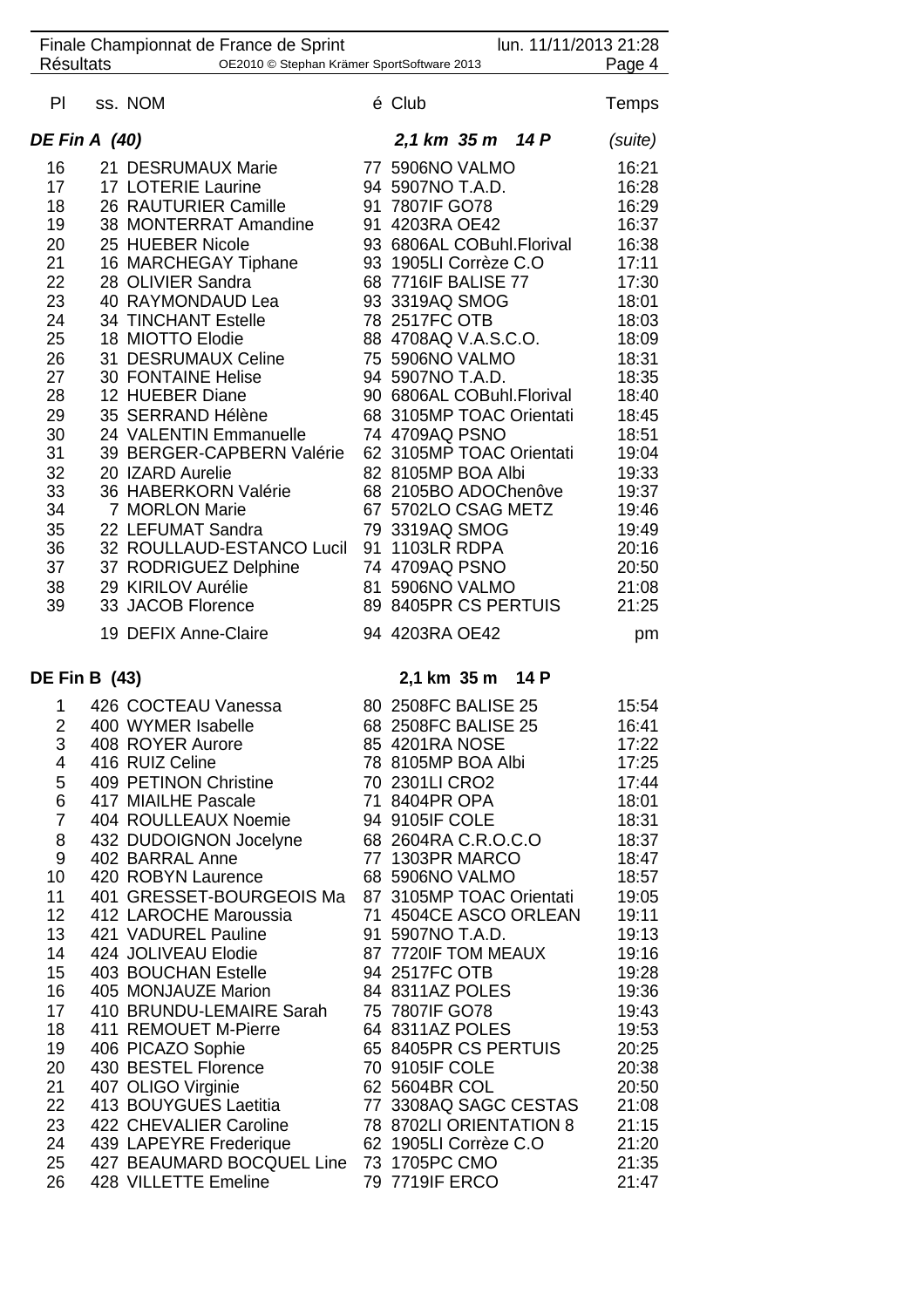| Finale Championnat de France de Sprint |  |                                                  |  | lun. 11/11/2013 21:28                   |                       |                |
|----------------------------------------|--|--------------------------------------------------|--|-----------------------------------------|-----------------------|----------------|
| <b>Résultats</b>                       |  | OE2010 © Stephan Krämer SportSoftware 2013       |  |                                         | Page 4                |                |
| PI                                     |  | ss. NOM                                          |  | é Club                                  |                       | Temps          |
| <b>DE Fin A (40)</b>                   |  |                                                  |  | 2,1 km 35 m 14 P                        |                       | (suite)        |
| 16                                     |  | 21 DESRUMAUX Marie                               |  | 77 5906NO VALMO                         |                       | 16:21          |
| 17                                     |  | 17 LOTERIE Laurine                               |  | 94 5907NO T.A.D.                        |                       | 16:28          |
| 18                                     |  | 26 RAUTURIER Camille                             |  | 91 7807IF GO78                          |                       | 16:29          |
| 19                                     |  | 38 MONTERRAT Amandine                            |  | 91 4203RA OE42                          |                       | 16:37          |
| 20                                     |  | 25 HUEBER Nicole                                 |  | 93 6806AL COBuhl.Florival               |                       | 16:38          |
| 21                                     |  | 16 MARCHEGAY Tiphane                             |  | 93 1905LI Corrèze C.O                   |                       | 17:11          |
| 22                                     |  | 28 OLIVIER Sandra                                |  | 68 7716IF BALISE 77                     |                       | 17:30          |
| 23                                     |  | 40 RAYMONDAUD Lea                                |  | 93 3319AQ SMOG                          |                       | 18:01          |
| 24                                     |  | <b>34 TINCHANT Estelle</b>                       |  | 78 2517FC OTB                           |                       | 18:03          |
| 25                                     |  | 18 MIOTTO Elodie                                 |  | 88 4708AQ V.A.S.C.O.                    |                       | 18:09          |
| 26                                     |  | 31 DESRUMAUX Celine                              |  | 75 5906NO VALMO                         |                       | 18:31          |
| 27                                     |  | <b>30 FONTAINE Helise</b>                        |  | 94 5907NO T.A.D.                        |                       | 18:35          |
| 28                                     |  | 12 HUEBER Diane                                  |  | 90 6806AL COBuhl.Florival               |                       | 18:40          |
| 29                                     |  | 35 SERRAND Hélène                                |  | 68 3105MP TOAC Orientati                |                       | 18:45          |
| 30                                     |  | 24 VALENTIN Emmanuelle                           |  | 74 4709AQ PSNO                          |                       | 18:51          |
| 31                                     |  | 39 BERGER-CAPBERN Valérie                        |  | 62 3105MP TOAC Orientati                |                       | 19:04          |
| 32                                     |  | 20 IZARD Aurelie                                 |  | 82 8105MP BOA Albi                      |                       | 19:33          |
| 33                                     |  | 36 HABERKORN Valérie                             |  | 68 2105BO ADOChenôve                    |                       | 19:37          |
| 34                                     |  | 7 MORLON Marie                                   |  | 67 5702LO CSAG METZ                     |                       | 19:46          |
| 35                                     |  | 22 LEFUMAT Sandra                                |  | 79 3319AQ SMOG                          |                       | 19:49          |
| 36                                     |  | 32 ROULLAUD-ESTANCO Lucil                        |  | 91 1103LR RDPA                          |                       | 20:16          |
| 37                                     |  | 37 RODRIGUEZ Delphine                            |  | 74 4709AQ PSNO                          |                       | 20:50          |
| 38                                     |  | 29 KIRILOV Aurélie                               |  | 81 5906NO VALMO                         |                       | 21:08          |
| 39                                     |  | 33 JACOB Florence                                |  |                                         | 89 8405PR CS PERTUIS  | 21:25          |
|                                        |  | 19 DEFIX Anne-Claire                             |  | 94 4203RA OE42                          |                       | pm             |
| <b>DE Fin B (43)</b>                   |  |                                                  |  | 2,1 km 35 m 14 P                        |                       |                |
| 1                                      |  | 426 COCTEAU Vanessa                              |  | 80 2508FC BALISE 25                     |                       | 15:54          |
| 2                                      |  | 400 WYMER Isabelle                               |  | 68 2508FC BALISE 25                     |                       | 16:41          |
| 3                                      |  | 408 ROYER Aurore                                 |  | 85 4201RA NOSE                          |                       | 17:22          |
| 4                                      |  | 416 RUIZ Celine                                  |  | 78 8105MP BOA Albi                      |                       | 17:25          |
| 5                                      |  | 409 PETINON Christine                            |  | 70 2301LI CRO2                          |                       | 17:44          |
| 6                                      |  | 417 MIAILHE Pascale                              |  | 71 8404PR OPA                           |                       | 18:01          |
| $\overline{7}$                         |  | 404 ROULLEAUX Noemie                             |  | 94 9105IF COLE                          |                       | 18:31          |
| 8                                      |  | 432 DUDOIGNON Jocelyne                           |  | 68 2604RA C.R.O.C.O                     |                       | 18:37          |
| 9                                      |  | 402 BARRAL Anne                                  |  | 77 1303PR MARCO                         |                       | 18:47          |
| 10                                     |  | 420 ROBYN Laurence                               |  | 68 5906NO VALMO                         |                       | 18:57          |
| 11                                     |  | 401 GRESSET-BOURGEOIS Ma                         |  | 87 3105MP TOAC Orientati                |                       | 19:05          |
| 12 <sub>2</sub>                        |  | 412 LAROCHE Maroussia                            |  |                                         | 71 4504CE ASCO ORLEAN | 19:11          |
| 13 <sup>°</sup>                        |  | 421 VADUREL Pauline                              |  | 91 5907NO T.A.D.                        |                       | 19:13          |
| 14                                     |  | 424 JOLIVEAU Elodie                              |  | 87 7720IF TOM MEAUX                     |                       | 19:16          |
| 15 <sub>1</sub>                        |  | 403 BOUCHAN Estelle                              |  | 94 2517FC OTB                           |                       | 19:28          |
| 16                                     |  | 405 MONJAUZE Marion                              |  | 84 8311AZ POLES                         |                       | 19:36          |
| 17                                     |  | 410 BRUNDU-LEMAIRE Sarah<br>411 REMOUET M-Pierre |  | 75 7807IF GO78                          |                       | 19:43          |
| 18<br>19                               |  | 406 PICAZO Sophie                                |  | 64 8311AZ POLES<br>65 8405PR CS PERTUIS |                       | 19:53<br>20:25 |
| 20                                     |  | 430 BESTEL Florence                              |  | 70 9105IF COLE                          |                       | 20:38          |
| 21                                     |  | 407 OLIGO Virginie                               |  | 62 5604BR COL                           |                       | 20:50          |
| 22                                     |  | 413 BOUYGUES Laetitia                            |  | 77 3308AQ SAGC CESTAS                   |                       | 21:08          |
| 23                                     |  | 422 CHEVALIER Caroline                           |  | 78 8702LI ORIENTATION 8                 |                       | 21:15          |
| 24                                     |  | 439 LAPEYRE Frederique                           |  | 62 1905LI Corrèze C.O                   |                       | 21:20          |
| 25                                     |  | 427 BEAUMARD BOCQUEL Line 73 1705PC CMO          |  |                                         |                       | 21:35          |
| 26                                     |  | 428 VILLETTE Emeline                             |  | 79 7719IF ERCO                          |                       | 21:47          |
|                                        |  |                                                  |  |                                         |                       |                |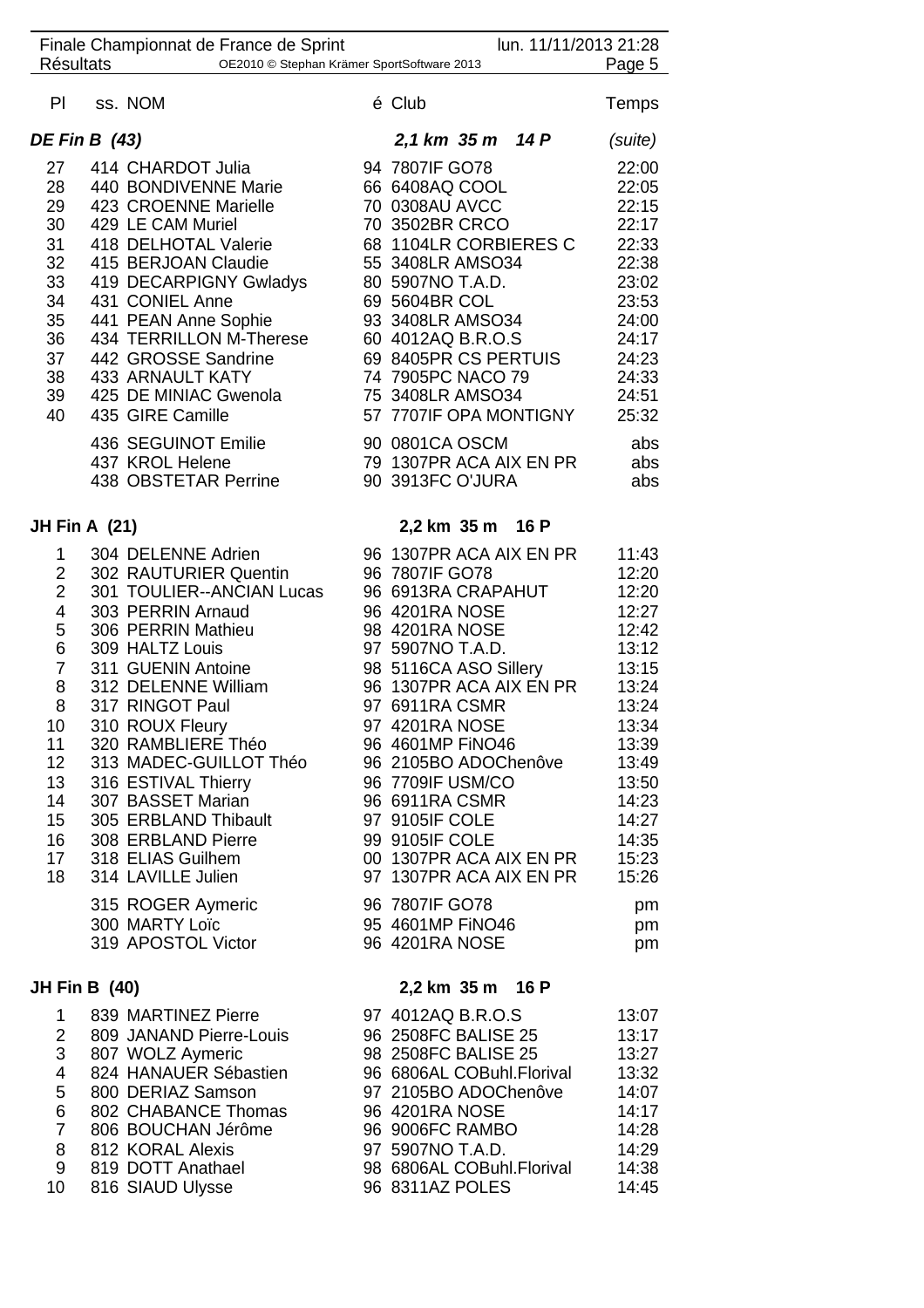|                       | Finale Championnat de France de Sprint     | lun. 11/11/2013 21:28                     |                |
|-----------------------|--------------------------------------------|-------------------------------------------|----------------|
| <b>Résultats</b>      | OE2010 © Stephan Krämer SportSoftware 2013 |                                           | Page 5         |
| PI.                   | ss. NOM                                    | é Club                                    | Temps          |
| <b>DE Fin B (43)</b>  |                                            | 2,1 km 35 m 14 P                          | (suite)        |
| 27                    | 414 CHARDOT Julia                          | 94 7807IF GO78                            | 22:00          |
| 28                    | 440 BONDIVENNE Marie                       | 66 6408AQ COOL                            | 22:05          |
| 29                    | 423 CROENNE Marielle                       | 70 0308AU AVCC                            | 22:15          |
| 30                    | 429 LE CAM Muriel                          | 70 3502BR CRCO                            | 22:17          |
| 31                    | 418 DELHOTAL Valerie                       | 68 1104LR CORBIERES C                     | 22:33          |
| 32 <sub>2</sub>       | 415 BERJOAN Claudie                        | 55 3408LR AMSO34                          | 22:38          |
| 33                    | 419 DECARPIGNY Gwladys                     | 80 5907NO T.A.D.                          | 23:02          |
| 34                    | 431 CONIEL Anne                            | 69 5604BR COL                             | 23:53          |
| 35                    | 441 PEAN Anne Sophie                       | 93 3408LR AMSO34                          | 24:00          |
| 36                    | 434 TERRILLON M-Therese                    | 60 4012AQ B.R.O.S                         | 24:17          |
| 37                    | 442 GROSSE Sandrine                        | 69 8405PR CS PERTUIS                      | 24:23          |
| 38                    | 433 ARNAULT KATY                           | 74 7905PC NACO 79                         | 24:33          |
| 39                    | 425 DE MINIAC Gwenola                      | 75 3408LR AMSO34                          | 24:51          |
| 40                    | 435 GIRE Camille                           | 57 7707IF OPA MONTIGNY                    | 25:32          |
|                       |                                            |                                           |                |
|                       | 436 SEGUINOT Emilie                        | 90 0801CA OSCM                            | abs            |
|                       | 437 KROL Helene                            | 79 1307PR ACA AIX EN PR                   | abs            |
|                       | 438 OBSTETAR Perrine                       | 90 3913FC O'JURA                          | abs            |
| <b>JH Fin A (21)</b>  |                                            | 2,2 km 35 m 16 P                          |                |
|                       | 304 DELENNE Adrien                         | 96 1307PR ACA AIX EN PR                   | 11:43          |
| 1<br>$2^{\circ}$      | 302 RAUTURIER Quentin                      | 96 7807IF GO78                            | 12:20          |
| $\overline{2}$        | 301 TOULIER--ANCIAN Lucas                  | 96 6913RA CRAPAHUT                        | 12:20          |
| 4                     | 303 PERRIN Arnaud                          | 96 4201RA NOSE                            | 12:27          |
| 5                     | 306 PERRIN Mathieu                         | 98 4201RA NOSE                            | 12:42          |
| 6                     | 309 HALTZ Louis                            | 97 5907NO T.A.D.                          | 13:12          |
| $\overline{7}$        | 311 GUENIN Antoine                         | 98 5116CA ASO Sillery                     | 13:15          |
| 8                     | 312 DELENNE William                        | 96 1307PR ACA AIX EN PR                   | 13:24          |
| 8                     | 317 RINGOT Paul                            | 97 6911RA CSMR                            | 13:24          |
| 10                    | 310 ROUX Fleury                            | 97 4201RA NOSE                            | 13:34          |
| 11                    | 320 RAMBLIERE Théo                         | 96 4601MP FINO46                          | 13:39          |
| 12 <sub>2</sub>       | 313 MADEC-GUILLOT Théo                     | 96 2105BO ADOChenôve                      | 13:49          |
|                       |                                            | 96 7709IF USM/CO                          |                |
| 13 <sup>°</sup><br>14 | 316 ESTIVAL Thierry<br>307 BASSET Marian   | 96 6911RA CSMR                            | 13:50          |
| 15 <sub>15</sub>      | 305 ERBLAND Thibault                       |                                           | 14:23<br>14:27 |
|                       |                                            | 97 9105IF COLE                            |                |
| 16<br>17              | 308 ERBLAND Pierre                         | 99 9105IF COLE<br>00 1307PR ACA AIX EN PR | 14:35<br>15:23 |
| 18                    | 318 ELIAS Guilhem<br>314 LAVILLE Julien    | 97 1307PR ACA AIX EN PR                   | 15:26          |
|                       |                                            |                                           |                |
|                       | 315 ROGER Aymeric                          | 96 7807IF GO78                            | pm             |
|                       | 300 MARTY Loïc                             | 95 4601MP FINO46                          | pm             |
|                       | 319 APOSTOL Victor                         | 96 4201RA NOSE                            | pm             |
| <b>JH Fin B (40)</b>  |                                            | 2,2 km 35 m 16 P                          |                |
| 1                     | 839 MARTINEZ Pierre                        | 97 4012AQ B.R.O.S                         | 13:07          |
| $\overline{2}$        | 809 JANAND Pierre-Louis                    | 96 2508FC BALISE 25                       | 13:17          |
| 3                     | 807 WOLZ Aymeric                           | 98 2508FC BALISE 25                       | 13:27          |
| 4                     | 824 HANAUER Sébastien                      | 96 6806AL COBuhl.Florival                 | 13:32          |
| 5                     | 800 DERIAZ Samson                          | 97 2105BO ADOChenôve                      | 14:07          |
| 6                     | 802 CHABANCE Thomas                        | 96 4201RA NOSE                            | 14:17          |
| $\overline{7}$        | 806 BOUCHAN Jérôme                         | 96 9006FC RAMBO                           | 14:28          |
| 8                     | 812 KORAL Alexis                           | 97 5907NO T.A.D.                          | 14:29          |
| 9                     | 819 DOTT Anathael                          | 98 6806AL COBuhl.Florival                 | 14:38          |
| 10                    | 816 SIAUD Ulysse                           | 96 8311AZ POLES                           | 14:45          |
|                       |                                            |                                           |                |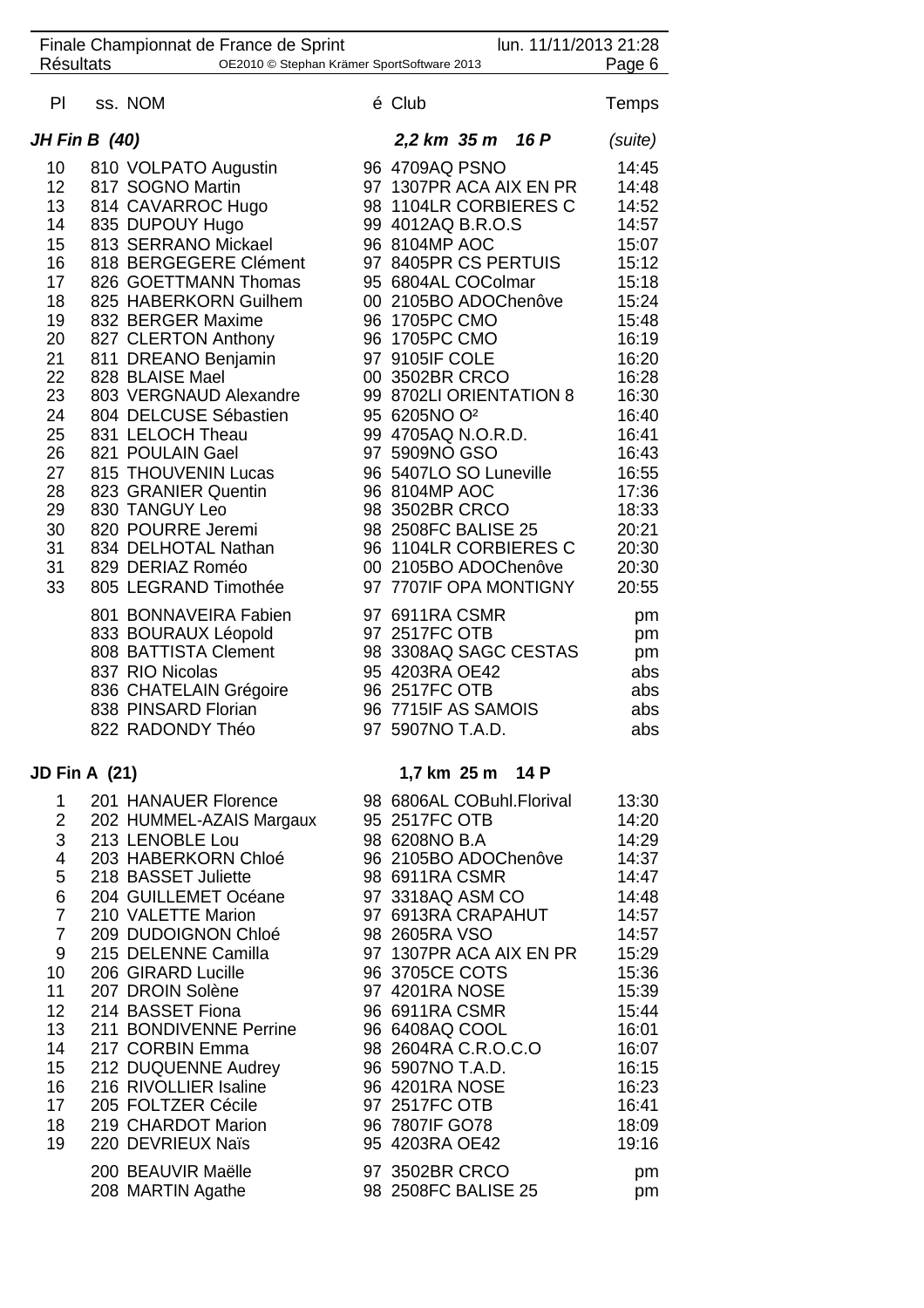|                                  |                      | Finale Championnat de France de Sprint                                                                                                                       |  |                                                                                                                                        | lun. 11/11/2013 21:28 |                                            |
|----------------------------------|----------------------|--------------------------------------------------------------------------------------------------------------------------------------------------------------|--|----------------------------------------------------------------------------------------------------------------------------------------|-----------------------|--------------------------------------------|
| Résultats                        |                      | OE2010 © Stephan Krämer SportSoftware 2013                                                                                                                   |  |                                                                                                                                        |                       | Page 6                                     |
| PI                               |                      | ss. NOM                                                                                                                                                      |  | é Club                                                                                                                                 |                       | Temps                                      |
|                                  | <b>JH Fin B</b> (40) |                                                                                                                                                              |  | 2,2 km 35 m 16 P                                                                                                                       |                       | (suite)                                    |
| 10                               |                      | 810 VOLPATO Augustin                                                                                                                                         |  | 96 4709AQ PSNO                                                                                                                         |                       | 14:45                                      |
| 12                               |                      | 817 SOGNO Martin                                                                                                                                             |  | 97 1307PR ACA AIX EN PR                                                                                                                |                       | 14:48                                      |
| 13                               |                      | 814 CAVARROC Hugo                                                                                                                                            |  | 98 1104LR CORBIERES C                                                                                                                  |                       | 14:52                                      |
| 14                               |                      | 835 DUPOUY Hugo                                                                                                                                              |  | 99 4012AQ B.R.O.S                                                                                                                      |                       | 14:57                                      |
| 15                               |                      | 813 SERRANO Mickael                                                                                                                                          |  | 96 8104MP AOC                                                                                                                          |                       | 15:07                                      |
| 16                               |                      | 818 BERGEGERE Clément                                                                                                                                        |  | 97 8405PR CS PERTUIS                                                                                                                   |                       | 15:12                                      |
| 17                               |                      | 826 GOETTMANN Thomas                                                                                                                                         |  | 95 6804AL COColmar                                                                                                                     |                       | 15:18                                      |
| 18                               |                      | 825 HABERKORN Guilhem                                                                                                                                        |  | 00 2105BO ADOChenôve                                                                                                                   |                       | 15:24                                      |
| 19                               |                      | 832 BERGER Maxime                                                                                                                                            |  | 96 1705PC CMO                                                                                                                          |                       | 15:48                                      |
| 20                               |                      | 827 CLERTON Anthony                                                                                                                                          |  | 96 1705PC CMO                                                                                                                          |                       | 16:19                                      |
| 21                               |                      | 811 DREANO Benjamin                                                                                                                                          |  | 97 9105IF COLE                                                                                                                         |                       | 16:20                                      |
| 22<br>23                         |                      | 828 BLAISE Mael<br>803 VERGNAUD Alexandre                                                                                                                    |  | 00 3502BR CRCO<br>99 8702LI ORIENTATION 8                                                                                              |                       | 16:28<br>16:30                             |
| 24                               |                      | 804 DELCUSE Sébastien                                                                                                                                        |  | 95 6205NO O <sup>2</sup>                                                                                                               |                       | 16:40                                      |
| 25                               |                      | 831 LELOCH Theau                                                                                                                                             |  | 99 4705AQ N.O.R.D.                                                                                                                     |                       | 16:41                                      |
| 26                               |                      | 821 POULAIN Gael                                                                                                                                             |  | 97 5909NO GSO                                                                                                                          |                       | 16:43                                      |
| 27                               |                      | 815 THOUVENIN Lucas                                                                                                                                          |  | 96 5407LO SO Luneville                                                                                                                 |                       | 16:55                                      |
| 28                               |                      | 823 GRANIER Quentin                                                                                                                                          |  | 96 8104MP AOC                                                                                                                          |                       | 17:36                                      |
| 29                               |                      | 830 TANGUY Leo                                                                                                                                               |  | 98 3502BR CRCO                                                                                                                         |                       | 18:33                                      |
| 30                               |                      | 820 POURRE Jeremi                                                                                                                                            |  | 98 2508FC BALISE 25                                                                                                                    |                       | 20:21                                      |
| 31                               |                      | 834 DELHOTAL Nathan                                                                                                                                          |  | 96 1104LR CORBIERES C                                                                                                                  |                       | 20:30                                      |
| 31                               |                      | 829 DERIAZ Roméo                                                                                                                                             |  | 00 2105BO ADOChenôve                                                                                                                   |                       | 20:30                                      |
| 33                               |                      | 805 LEGRAND Timothée                                                                                                                                         |  | 97 7707IF OPA MONTIGNY                                                                                                                 |                       | 20:55                                      |
|                                  |                      | 801 BONNAVEIRA Fabien<br>833 BOURAUX Léopold<br>808 BATTISTA Clement<br>837 RIO Nicolas<br>836 CHATELAIN Grégoire<br>838 PINSARD Florian<br>822 RADONDY Théo |  | 97 6911RA CSMR<br>97 2517FC OTB<br>98 3308AQ SAGC CESTAS<br>95 4203RA OE42<br>96 2517FC OTB<br>96 7715IF AS SAMOIS<br>97 5907NO T.A.D. |                       | pm<br>pm<br>pm<br>abs<br>abs<br>abs<br>abs |
| <b>JD Fin A (21)</b>             |                      |                                                                                                                                                              |  | 1,7 km 25 m 14 P                                                                                                                       |                       |                                            |
| 1                                |                      | 201 HANAUER Florence                                                                                                                                         |  | 98 6806AL COBuhl.Florival                                                                                                              |                       | 13:30                                      |
|                                  |                      | 2 202 HUMMEL-AZAIS Margaux                                                                                                                                   |  | 95 2517FC OTB                                                                                                                          |                       | 14:20                                      |
|                                  |                      | 3 213 LENOBLE Lou                                                                                                                                            |  | 98 6208NO B.A                                                                                                                          |                       | 14:29                                      |
| 4                                |                      | 203 HABERKORN Chloé                                                                                                                                          |  | 96 2105BO ADOChenôve                                                                                                                   |                       | 14:37                                      |
| 5                                |                      | 218 BASSET Juliette                                                                                                                                          |  | 98 6911RA CSMR                                                                                                                         |                       | 14:47                                      |
| 6                                |                      | 204 GUILLEMET Océane                                                                                                                                         |  | 97 3318AQ ASM CO                                                                                                                       |                       | 14:48                                      |
| $\overline{7}$<br>$\overline{7}$ |                      | 210 VALETTE Marion<br>209 DUDOIGNON Chloé                                                                                                                    |  | 97 6913RA CRAPAHUT<br>98 2605RA VSO                                                                                                    |                       | 14:57<br>14:57                             |
| 9                                |                      | 215 DELENNE Camilla                                                                                                                                          |  | 97 1307PR ACA AIX EN PR                                                                                                                |                       | 15:29                                      |
| 10                               |                      | 206 GIRARD Lucille                                                                                                                                           |  | 96 3705CE COTS                                                                                                                         |                       | 15:36                                      |
| 11                               |                      | 207 DROIN Solène                                                                                                                                             |  | 97 4201RA NOSE                                                                                                                         |                       | 15:39                                      |
| 12 <sub>2</sub>                  |                      | 214 BASSET Fiona                                                                                                                                             |  | 96 6911RA CSMR                                                                                                                         |                       | 15:44                                      |
| 13                               |                      | 211 BONDIVENNE Perrine                                                                                                                                       |  | 96 6408AQ COOL                                                                                                                         |                       | 16:01                                      |
| 14                               |                      | 217 CORBIN Emma                                                                                                                                              |  | 98 2604RA C.R.O.C.O                                                                                                                    |                       | 16:07                                      |
| 15                               |                      | 212 DUQUENNE Audrey                                                                                                                                          |  | 96 5907NO T.A.D.                                                                                                                       |                       | 16:15                                      |
| 16                               |                      | 216 RIVOLLIER Isaline                                                                                                                                        |  | 96 4201RA NOSE                                                                                                                         |                       | 16:23                                      |
| 17                               |                      | 205 FOLTZER Cécile                                                                                                                                           |  | 97 2517FC OTB                                                                                                                          |                       | 16:41                                      |
| 18<br>19                         |                      | 219 CHARDOT Marion<br>220 DEVRIEUX Naïs                                                                                                                      |  | 96 7807IF GO78<br>95 4203RA OE42                                                                                                       |                       | 18:09                                      |
|                                  |                      |                                                                                                                                                              |  |                                                                                                                                        |                       | 19:16                                      |
|                                  |                      | 200 BEAUVIR Maëlle<br>208 MARTIN Agathe                                                                                                                      |  | 97 3502BR CRCO<br>98 2508FC BALISE 25                                                                                                  |                       | pm<br>pm                                   |